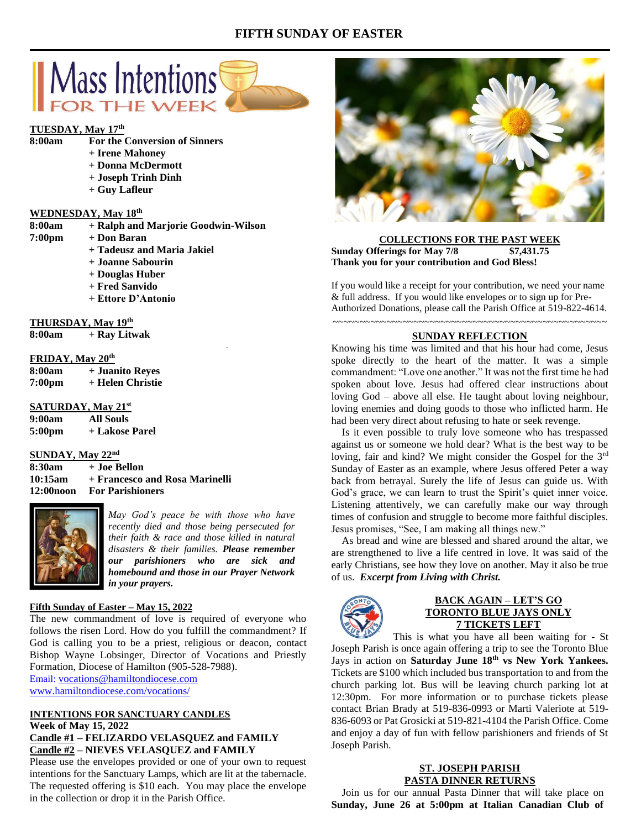# **FIFTH SUNDAY OF EASTER**



## **TUESDAY, May 17th**

**8:00am For the Conversion of Sinners**

- **+ Irene Mahoney**
- **+ Donna McDermott**
- **+ Joseph Trinh Dinh**
- **+ Guy Lafleur**

## **WEDNESDAY, May 18 th**

| 8:00am           | + Ralph and Marjorie Goodwin-Wilson |
|------------------|-------------------------------------|
| $7:00 \text{pm}$ | + Don Baran                         |
|                  | + Tadeusz and Maria Jakiel          |
|                  | + Joanne Sabourin                   |

- **+ Douglas Huber**
- 
- **+ Fred Sanvido**
- **+ Ettore D'Antonio**

## **THURSDAY, May 19 th**

**8:00am + Ray Litwak**

#### **FRIDAY, May 20th**

| 8:00am             | + Juanito Reyes  |
|--------------------|------------------|
| 7:00 <sub>pm</sub> | + Helen Christie |

#### **SATURDAY, May 21st**

| 9:00am | All Souls      |
|--------|----------------|
| 5:00pm | + Lakose Parel |

# **SUNDAY, May 22nd**

**8:30am + Joe Bellon 10:15am + Francesco and Rosa Marinelli 12:00noon For Parishioners**



*May God's peace be with those who have recently died and those being persecuted for their faith & race and those killed in natural disasters & their families. Please remember our parishioners who are sick and homebound and those in our Prayer Network in your prayers.*

## **Fifth Sunday of Easter – May 15, 2022**

The new commandment of love is required of everyone who follows the risen Lord. How do you fulfill the commandment? If God is calling you to be a priest, religious or deacon, contact Bishop Wayne Lobsinger, Director of Vocations and Priestly Formation, Diocese of Hamilton (905-528-7988).

Email: [vocations@hamiltondiocese.com](mailto:vocations@hamiltondiocese.com) [www.hamiltondiocese.com/vocations/](http://www.hamiltondiocese.com/vocations/)

## **INTENTIONS FOR SANCTUARY CANDLES Week of May 15, 2022 Candle #1 – FELIZARDO VELASQUEZ and FAMILY**

# **Candle #2 – NIEVES VELASQUEZ and FAMILY**

Please use the envelopes provided or one of your own to request intentions for the Sanctuary Lamps, which are lit at the tabernacle. The requested offering is \$10 each. You may place the envelope in the collection or drop it in the Parish Office.



## **COLLECTIONS FOR THE PAST WEEK Sunday Offerings for May 7/8 \$7,431.75 Thank you for your contribution and God Bless!**

If you would like a receipt for your contribution, we need your name & full address. If you would like envelopes or to sign up for Pre-Authorized Donations, please call the Parish Office at 519-822-4614.

~~~~~~~~~~~~~~~~~~~~~~~~~~~~~~~~~~~~~~~~~~~~~~~~~~~

## **SUNDAY REFLECTION**

Knowing his time was limited and that his hour had come, Jesus spoke directly to the heart of the matter. It was a simple commandment: "Love one another." It was not the first time he had spoken about love. Jesus had offered clear instructions about loving God – above all else. He taught about loving neighbour, loving enemies and doing goods to those who inflicted harm. He had been very direct about refusing to hate or seek revenge.

 Is it even possible to truly love someone who has trespassed against us or someone we hold dear? What is the best way to be loving, fair and kind? We might consider the Gospel for the 3rd Sunday of Easter as an example, where Jesus offered Peter a way back from betrayal. Surely the life of Jesus can guide us. With God's grace, we can learn to trust the Spirit's quiet inner voice. Listening attentively, we can carefully make our way through times of confusion and struggle to become more faithful disciples. Jesus promises, "See, I am making all things new."

 As bread and wine are blessed and shared around the altar, we are strengthened to live a life centred in love. It was said of the early Christians, see how they love on another. May it also be true of us. *Excerpt from Living with Christ.*



## **BACK AGAIN – LET'S GO TORONTO BLUE JAYS ONLY 7 TICKETS LEFT**

This is what you have all been waiting for - St Joseph Parish is once again offering a trip to see the Toronto Blue Jays in action on **Saturday June 18th vs New York Yankees.** Tickets are \$100 which included bus transportation to and from the church parking lot. Bus will be leaving church parking lot at 12:30pm. For more information or to purchase tickets please contact Brian Brady at 519-836-0993 or Marti Valeriote at 519- 836-6093 or Pat Grosicki at 519-821-4104 the Parish Office. Come and enjoy a day of fun with fellow parishioners and friends of St Joseph Parish.

## **ST. JOSEPH PARISH PASTA DINNER RETURNS**

 Join us for our annual Pasta Dinner that will take place on **Sunday, June 26 at 5:00pm at Italian Canadian Club of**